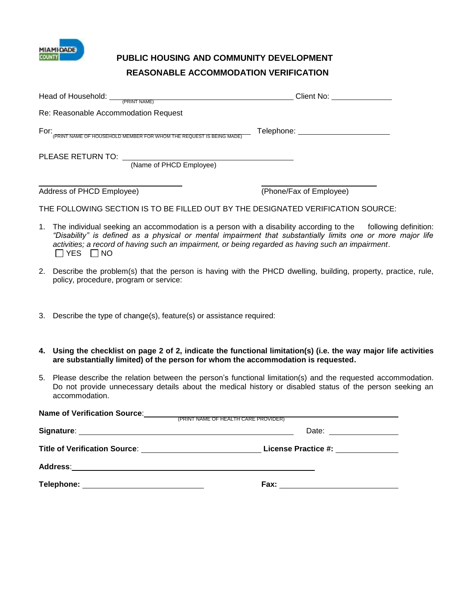

## **PUBLIC HOUSING AND COMMUNITY DEVELOPMENT REASONABLE ACCOMMODATION VERIFICATION**

| Head of Household: <u>PRINT NAME</u>                                             | Client No: <u>________________</u>  |
|----------------------------------------------------------------------------------|-------------------------------------|
| Re: Reasonable Accommodation Request                                             |                                     |
| For:<br>.<br>(PRINT NAME OF HOUSEHOLD MEMBER FOR WHOM THE REQUEST IS BEING MADE) | Telephone: ________________________ |
| (Name of PHCD Employee)                                                          |                                     |
| Address of PHCD Employee)                                                        | (Phone/Fax of Employee)             |
| THE FOLLOWING SECTION IS TO BE FILLED OUT BY THE DESIGNATED VERIFICATION SOURCE: |                                     |

- 1. The individual seeking an accommodation is a person with a disability according to the following definition: *"Disability" is defined as a physical or mental impairment that substantially limits one or more major life activities; a record of having such an impairment, or being regarded as having such an impairment*.  $\Box$  YES  $\Box$  NO
- 2. Describe the problem(s) that the person is having with the PHCD dwelling, building, property, practice, rule, policy, procedure, program or service:
- 3. Describe the type of change(s), feature(s) or assistance required:
- **4. Using the checklist on page 2 of 2, indicate the functional limitation(s) (i.e. the way major life activities are substantially limited) of the person for whom the accommodation is requested.**
- 5. Please describe the relation between the person's functional limitation(s) and the requested accommodation. Do not provide unnecessary details about the medical history or disabled status of the person seeking an accommodation.

| <b>Name of Verification Source:</b> The Manual American CARE PROVIDER) |                          |
|------------------------------------------------------------------------|--------------------------|
|                                                                        | Date: __________________ |
|                                                                        |                          |
|                                                                        |                          |
| Telephone: ________________________________                            |                          |